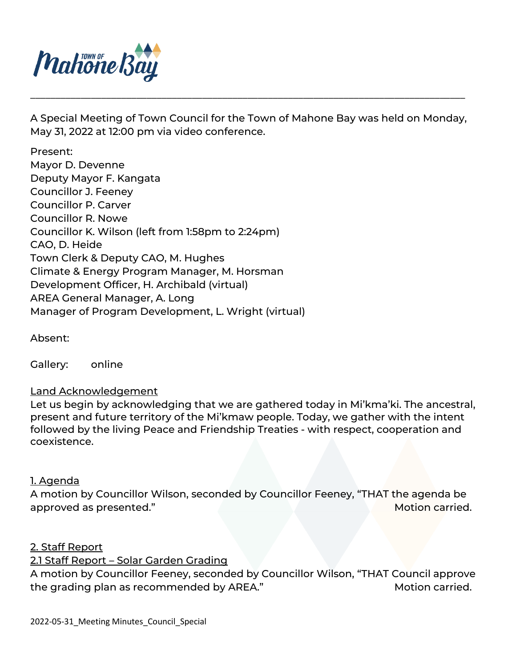

A Special Meeting of Town Council for the Town of Mahone Bay was held on Monday, May 31, 2022 at 12:00 pm via video conference.

\_\_\_\_\_\_\_\_\_\_\_\_\_\_\_\_\_\_\_\_\_\_\_\_\_\_\_\_\_\_\_\_\_\_\_\_\_\_\_\_\_\_\_\_\_\_\_\_\_\_\_\_\_\_\_\_\_\_\_\_\_\_\_\_\_\_\_\_\_\_\_\_\_\_\_\_\_\_\_\_\_\_\_\_\_\_

Present: Mayor D. Devenne Deputy Mayor F. Kangata Councillor J. Feeney Councillor P. Carver Councillor R. Nowe Councillor K. Wilson (left from 1:58pm to 2:24pm) CAO, D. Heide Town Clerk & Deputy CAO, M. Hughes Climate & Energy Program Manager, M. Horsman Development Officer, H. Archibald (virtual) AREA General Manager, A. Long Manager of Program Development, L. Wright (virtual)

Absent:

Gallery: online

# Land Acknowledgement

Let us begin by acknowledging that we are gathered today in Mi'kma'ki. The ancestral, present and future territory of the Mi'kmaw people. Today, we gather with the intent followed by the living Peace and Friendship Treaties - with respect, cooperation and coexistence.

### <u>1. Agenda</u>

A motion by Councillor Wilson, seconded by Councillor Feeney, "THAT the agenda be approved as presented." The same state of the state of the Motion carried.

### 2. Staff Report

# 2.1 Staff Report – Solar Garden Grading

A motion by Councillor Feeney, seconded by Councillor Wilson, "THAT Council approve the grading plan as recommended by AREA." Motion carried.